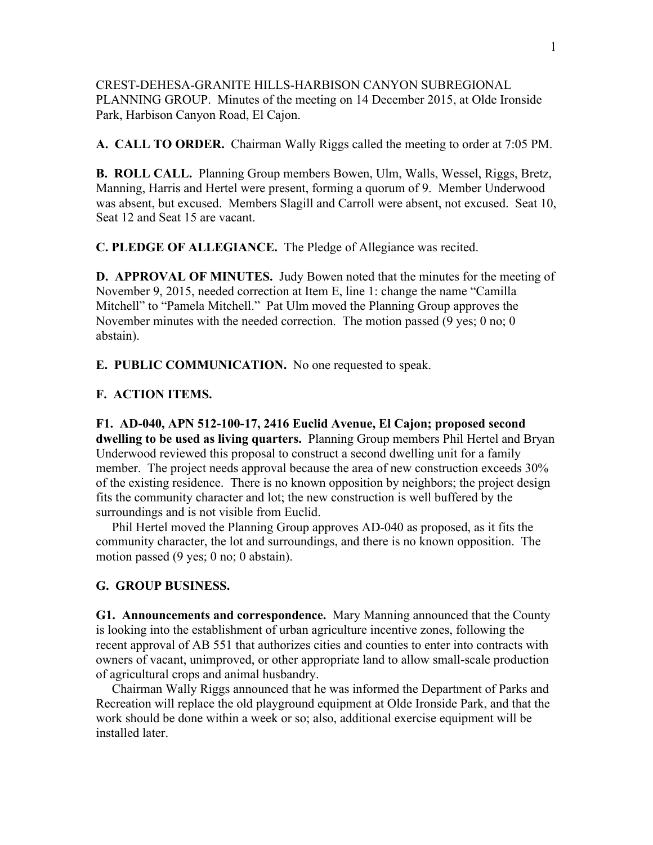CREST-DEHESA-GRANITE HILLS-HARBISON CANYON SUBREGIONAL PLANNING GROUP. Minutes of the meeting on 14 December 2015, at Olde Ironside Park, Harbison Canyon Road, El Cajon.

**A. CALL TO ORDER.** Chairman Wally Riggs called the meeting to order at 7:05 PM.

**B. ROLL CALL.** Planning Group members Bowen, Ulm, Walls, Wessel, Riggs, Bretz, Manning, Harris and Hertel were present, forming a quorum of 9. Member Underwood was absent, but excused. Members Slagill and Carroll were absent, not excused. Seat 10, Seat 12 and Seat 15 are vacant.

**C. PLEDGE OF ALLEGIANCE.** The Pledge of Allegiance was recited.

**D. APPROVAL OF MINUTES.** Judy Bowen noted that the minutes for the meeting of November 9, 2015, needed correction at Item E, line 1: change the name "Camilla Mitchell" to "Pamela Mitchell." Pat Ulm moved the Planning Group approves the November minutes with the needed correction. The motion passed (9 yes; 0 no; 0 abstain).

**E. PUBLIC COMMUNICATION.** No one requested to speak.

## **F. ACTION ITEMS.**

**F1. AD-040, APN 512-100-17, 2416 Euclid Avenue, El Cajon; proposed second dwelling to be used as living quarters.** Planning Group members Phil Hertel and Bryan Underwood reviewed this proposal to construct a second dwelling unit for a family member. The project needs approval because the area of new construction exceeds 30% of the existing residence. There is no known opposition by neighbors; the project design fits the community character and lot; the new construction is well buffered by the surroundings and is not visible from Euclid.

 Phil Hertel moved the Planning Group approves AD-040 as proposed, as it fits the community character, the lot and surroundings, and there is no known opposition. The motion passed (9 yes; 0 no; 0 abstain).

## **G. GROUP BUSINESS.**

**G1. Announcements and correspondence.** Mary Manning announced that the County is looking into the establishment of urban agriculture incentive zones, following the recent approval of AB 551 that authorizes cities and counties to enter into contracts with owners of vacant, unimproved, or other appropriate land to allow small-scale production of agricultural crops and animal husbandry.

 Chairman Wally Riggs announced that he was informed the Department of Parks and Recreation will replace the old playground equipment at Olde Ironside Park, and that the work should be done within a week or so; also, additional exercise equipment will be installed later.